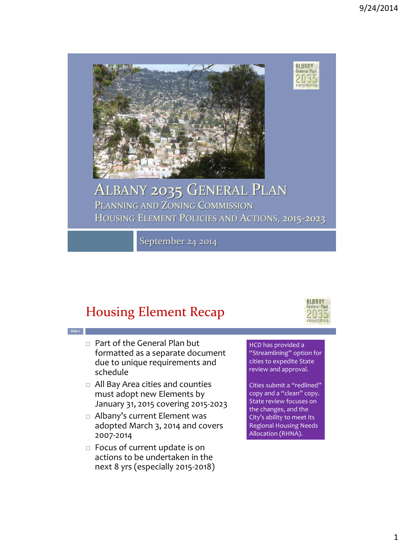

# ALBANY 2035 GENERAL PLAN

PLANNING AND ZONING COMMISSION HOUSING ELEMENT POLICIES AND ACTIONS, 2015-2023

September 24 2014

## Housing Element Recap

**Slide 2**



**ALBANY**<br>General Plan

2035 albany2035.org

- Part of the General Plan but formatted as a separate document due to unique requirements and schedule
- All Bay Area cities and counties must adopt new Elements by January 31, 2015 covering 2015-2023
- Albany's current Element was adopted March 3, 2014 and covers 2007-2014
- $\Box$  Focus of current update is on actions to be undertaken in the next 8 yrs (especially 2015-2018)

HCD has provided a "Streamlining" option for cities to expedite State review and approval.

Cities submit a "redlined" copy and a "clean" copy. State review focuses on the changes, and the City's ability to meet its Regional Housing Needs Allocation (RHNA).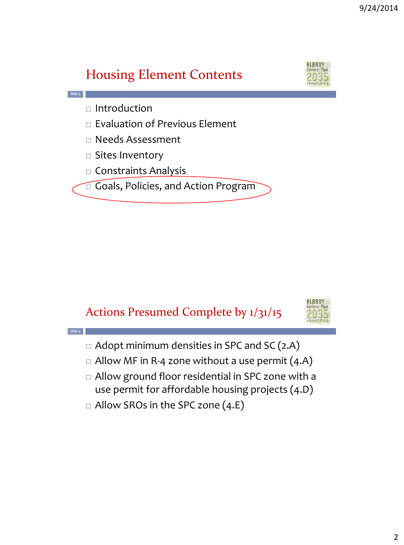#### AIRAN Housing Element Contents **Slide 3**  $\Box$  Introduction  $\Box$  Evaluation of Previous Element □ Needs Assessment  $\square$  Sites Inventory  $\Box$  Constraints Analysis  $\Box$  Goals, Policies, and Action Program

## Actions Presumed Complete by 1/31/15



- $\Box$  Adopt minimum densities in SPC and SC (2.A)
- $\Box$  Allow MF in R-4 zone without a use permit (4.A)
- □ Allow ground floor residential in SPC zone with a use permit for affordable housing projects (4.D)
- $\Box$  Allow SROs in the SPC zone (4.E)

**Slide 4**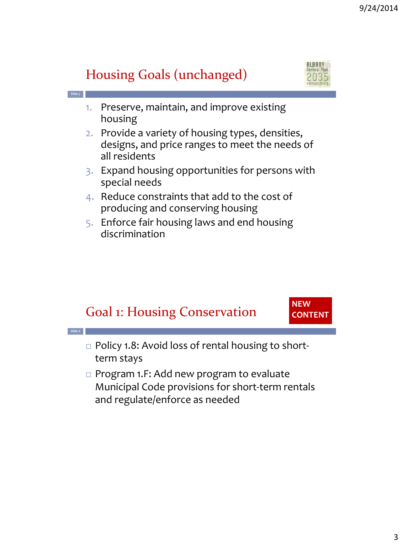**ALBANY** 

#### Housing Goals (unchanged) **Slide 5** 1. Preserve, maintain, and improve existing housing 2. Provide a variety of housing types, densities, designs, and price ranges to meet the needs of all residents 3. Expand housing opportunities for persons with special needs 4. Reduce constraints that add to the cost of producing and conserving housing 5. Enforce fair housing laws and end housing discrimination



3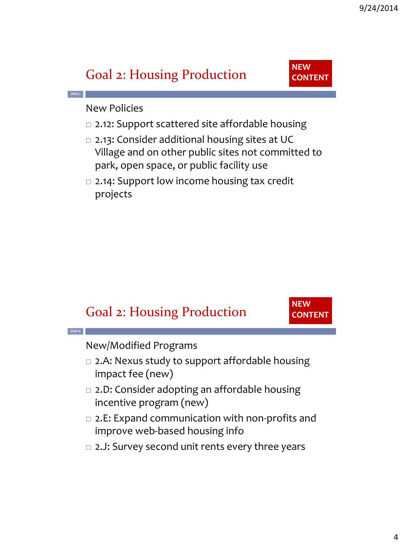## Goal 2: Housing Production



New Policies

**Slide 7**

- □ 2.12: Support scattered site affordable housing
- □ 2.13: Consider additional housing sites at UC Village and on other public sites not committed to park, open space, or public facility use
- □ 2.14: Support low income housing tax credit projects

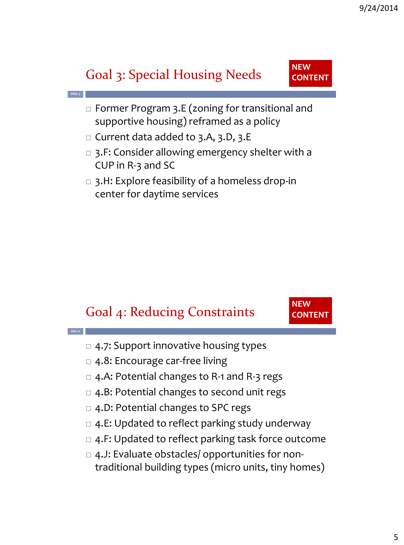## Goal 3: Special Housing Needs

**Slide 9**

**Slide 10**



- Former Program 3.E (zoning for transitional and supportive housing) reframed as a policy
- $\Box$  Current data added to 3.A, 3.D, 3.E
- □ 3.F: Consider allowing emergency shelter with a CUP in R-3 and SC
- 3.H: Explore feasibility of a homeless drop-in center for daytime services

## Goal 4: Reducing Constraints



- □ 4.7: Support innovative housing types
- □ 4.8: Encourage car-free living
- □ 4.A: Potential changes to R-1 and R-3 regs
- □ 4.B: Potential changes to second unit regs
- □ 4.D: Potential changes to SPC regs
- $\Box$  4.E: Updated to reflect parking study underway
- $\Box$  4.F: Updated to reflect parking task force outcome
- $\Box$  4.J: Evaluate obstacles/ opportunities for nontraditional building types (micro units, tiny homes)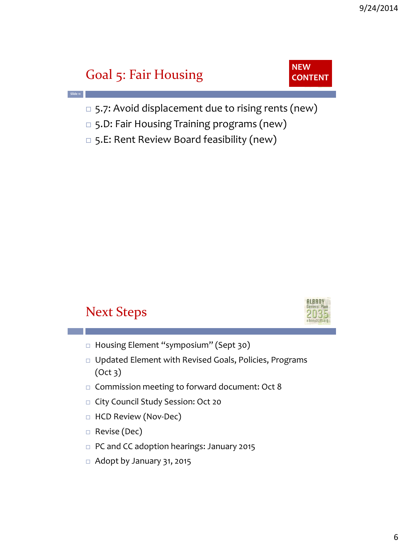## Goal 5: Fair Housing

**Slide 11**



- □ 5.7: Avoid displacement due to rising rents (new)
- □ 5.D: Fair Housing Training programs (new)
- □ 5.E: Rent Review Board feasibility (new)

## Next Steps



- □ Housing Element "symposium" (Sept 30)
- Updated Element with Revised Goals, Policies, Programs (Oct 3)
- □ Commission meeting to forward document: Oct 8
- □ City Council Study Session: Oct 20
- □ HCD Review (Nov-Dec)
- □ Revise (Dec)
- □ PC and CC adoption hearings: January 2015
- $\Box$  Adopt by January 31, 2015